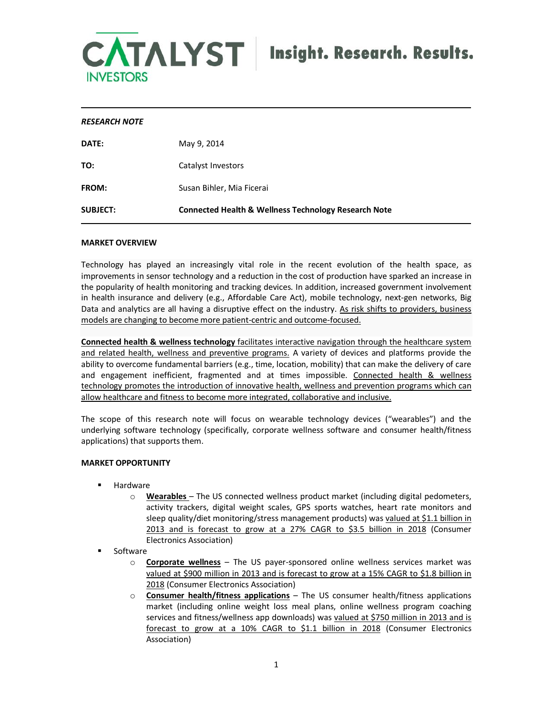

## *RESEARCH NOTE*

| <b>SUBJECT:</b> | <b>Connected Health &amp; Wellness Technology Research Note</b> |
|-----------------|-----------------------------------------------------------------|
| <b>FROM:</b>    | Susan Bihler, Mia Ficerai                                       |
| TO:             | Catalyst Investors                                              |
| DATE:           | May 9, 2014                                                     |

### **MARKET OVERVIEW**

Technology has played an increasingly vital role in the recent evolution of the health space, as improvements in sensor technology and a reduction in the cost of production have sparked an increase in the popularity of health monitoring and tracking devices. In addition, increased government involvement in health insurance and delivery (e.g., Affordable Care Act), mobile technology, next-gen networks, Big Data and analytics are all having a disruptive effect on the industry. As risk shifts to providers, business models are changing to become more patient-centric and outcome-focused.

**Connected health & wellness technology** facilitates interactive navigation through the healthcare system and related health, wellness and preventive programs. A variety of devices and platforms provide the ability to overcome fundamental barriers (e.g., time, location, mobility) that can make the delivery of care and engagement inefficient, fragmented and at times impossible. Connected health & wellness technology promotes the introduction of innovative health, wellness and prevention programs which can allow healthcare and fitness to become more integrated, collaborative and inclusive.

The scope of this research note will focus on wearable technology devices ("wearables") and the underlying software technology (specifically, corporate wellness software and consumer health/fitness applications) that supports them.

# **MARKET OPPORTUNITY**

- **Hardware** 
	- o **Wearables** The US connected wellness product market (including digital pedometers, activity trackers, digital weight scales, GPS sports watches, heart rate monitors and sleep quality/diet monitoring/stress management products) was valued at \$1.1 billion in 2013 and is forecast to grow at a 27% CAGR to \$3.5 billion in 2018 (Consumer Electronics Association)
- **Software** 
	- o **Corporate wellness** The US payer-sponsored online wellness services market was valued at \$900 million in 2013 and is forecast to grow at a 15% CAGR to \$1.8 billion in 2018 (Consumer Electronics Association)
	- o **Consumer health/fitness applications** The US consumer health/fitness applications market (including online weight loss meal plans, online wellness program coaching services and fitness/wellness app downloads) was valued at \$750 million in 2013 and is forecast to grow at a 10% CAGR to \$1.1 billion in 2018 (Consumer Electronics Association)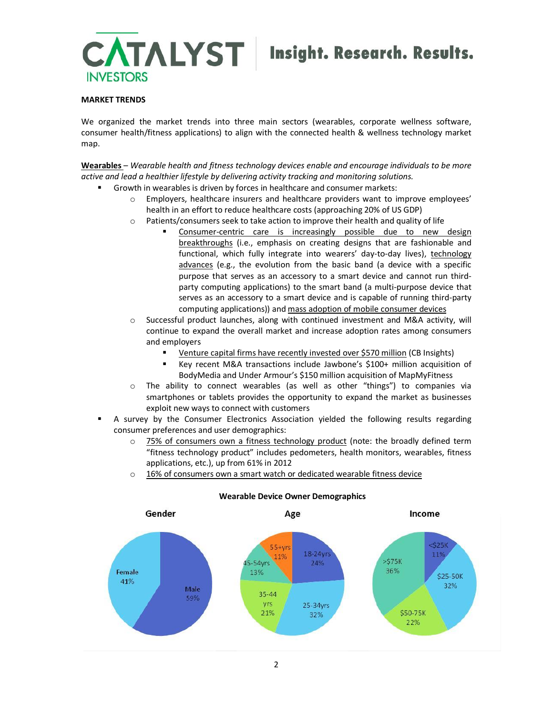

# **MARKET TRENDS**

We organized the market trends into three main sectors (wearables, corporate wellness software, consumer health/fitness applications) to align with the connected health & wellness technology market map.

**Wearables** – *Wearable health and fitness technology devices enable and encourage individuals to be more active and lead a healthier lifestyle by delivering activity tracking and monitoring solutions.*

- ß Growth in wearables is driven by forces in healthcare and consumer markets:
	- o Employers, healthcare insurers and healthcare providers want to improve employees' health in an effort to reduce healthcare costs (approaching 20% of US GDP)
	- $\circ$  Patients/consumers seek to take action to improve their health and quality of life
		- ß Consumer-centric care is increasingly possible due to new design breakthroughs (i.e., emphasis on creating designs that are fashionable and functional, which fully integrate into wearers' day-to-day lives), technology advances (e.g., the evolution from the basic band (a device with a specific purpose that serves as an accessory to a smart device and cannot run thirdparty computing applications) to the smart band (a multi-purpose device that serves as an accessory to a smart device and is capable of running third-party computing applications)) and mass adoption of mobile consumer devices
	- $\circ$  Successful product launches, along with continued investment and M&A activity, will continue to expand the overall market and increase adoption rates among consumers and employers
		- ß Venture capital firms have recently invested over \$570 million (CB Insights)
		- Key recent M&A transactions include Jawbone's \$100+ million acquisition of BodyMedia and Under Armour's \$150 million acquisition of MapMyFitness
	- o The ability to connect wearables (as well as other "things") to companies via smartphones or tablets provides the opportunity to expand the market as businesses exploit new ways to connect with customers
- ß A survey by the Consumer Electronics Association yielded the following results regarding consumer preferences and user demographics:
	- $\circ$  75% of consumers own a fitness technology product (note: the broadly defined term "fitness technology product" includes pedometers, health monitors, wearables, fitness applications, etc.), up from 61% in 2012
	- $\circ$  16% of consumers own a smart watch or dedicated wearable fitness device



# **Wearable Device Owner Demographics**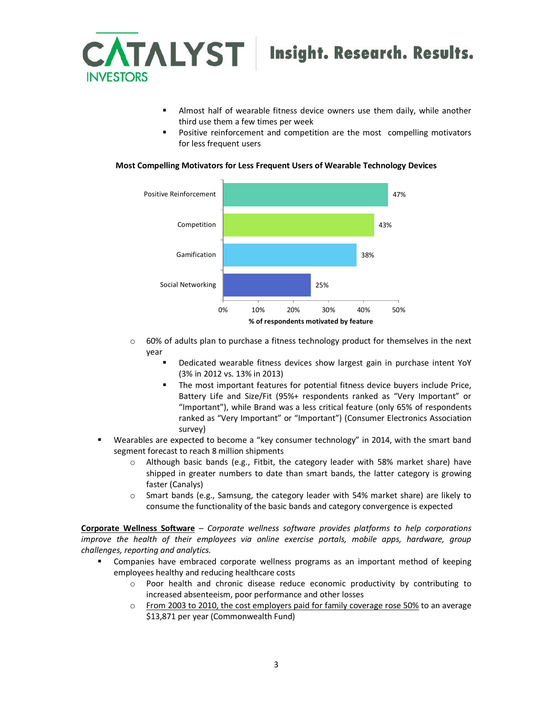

- ß Almost half of wearable fitness device owners use them daily, while another third use them a few times per week
- ß Positive reinforcement and competition are the most compelling motivators for less frequent users



### **Most Compelling Motivators for Less Frequent Users of Wearable Technology Devices**

- $\circ$  60% of adults plan to purchase a fitness technology product for themselves in the next year
	- ß Dedicated wearable fitness devices show largest gain in purchase intent YoY (3% in 2012 vs. 13% in 2013)
	- ß The most important features for potential fitness device buyers include Price, Battery Life and Size/Fit (95%+ respondents ranked as "Very Important" or "Important"), while Brand was a less critical feature (only 65% of respondents ranked as "Very Important" or "Important") (Consumer Electronics Association survey)
- **EXECOM** Wearables are expected to become a "key consumer technology" in 2014, with the smart band segment forecast to reach 8 million shipments
	- o Although basic bands (e.g., Fitbit, the category leader with 58% market share) have shipped in greater numbers to date than smart bands, the latter category is growing faster (Canalys)
	- $\circ$  Smart bands (e.g., Samsung, the category leader with 54% market share) are likely to consume the functionality of the basic bands and category convergence is expected

**Corporate Wellness Software** – *Corporate wellness software provides platforms to help corporations improve the health of their employees via online exercise portals, mobile apps, hardware, group challenges, reporting and analytics.*

- ß Companies have embraced corporate wellness programs as an important method of keeping employees healthy and reducing healthcare costs
	- o Poor health and chronic disease reduce economic productivity by contributing to increased absenteeism, poor performance and other losses
	- From 2003 to 2010, the cost employers paid for family coverage rose 50% to an average \$13,871 per year (Commonwealth Fund)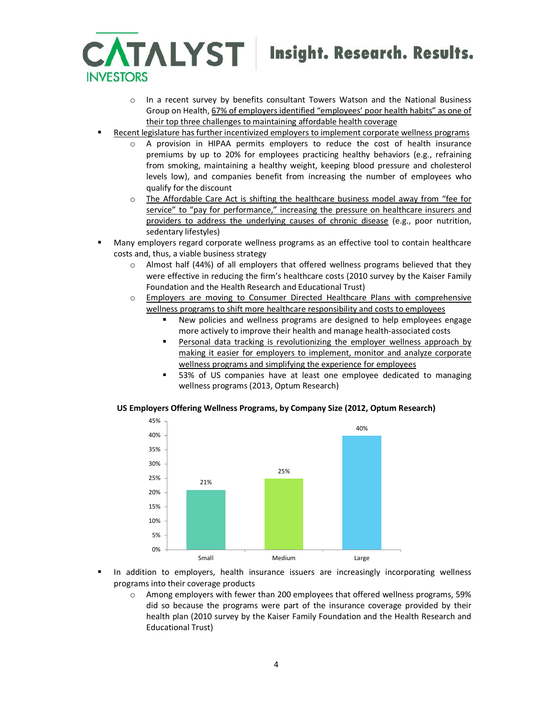

- o In a recent survey by benefits consultant Towers Watson and the National Business Group on Health, 67% of employers identified "employees' poor health habits" as one of their top three challenges to maintaining affordable health coverage
- ß Recent legislature has further incentivized employers to implement corporate wellness programs
	- o A provision in HIPAA permits employers to reduce the cost of health insurance premiums by up to 20% for employees practicing healthy behaviors (e.g., refraining from smoking, maintaining a healthy weight, keeping blood pressure and cholesterol levels low), and companies benefit from increasing the number of employees who qualify for the discount
	- o The Affordable Care Act is shifting the healthcare business model away from "fee for service" to "pay for performance," increasing the pressure on healthcare insurers and providers to address the underlying causes of chronic disease (e.g., poor nutrition, sedentary lifestyles)
- **Many employers regard corporate wellness programs as an effective tool to contain healthcare** costs and, thus, a viable business strategy
	- o Almost half (44%) of all employers that offered wellness programs believed that they were effective in reducing the firm's healthcare costs (2010 survey by the Kaiser Family Foundation and the Health Research and Educational Trust)
	- o Employers are moving to Consumer Directed Healthcare Plans with comprehensive wellness programs to shift more healthcare responsibility and costs to employees
		- ß New policies and wellness programs are designed to help employees engage more actively to improve their health and manage health-associated costs
		- Personal data tracking is revolutionizing the employer wellness approach by making it easier for employers to implement, monitor and analyze corporate wellness programs and simplifying the experience for employees
		- ß 53% of US companies have at least one employee dedicated to managing wellness programs (2013, Optum Research)

### **US Employers Offering Wellness Programs, by Company Size (2012, Optum Research)**



- In addition to employers, health insurance issuers are increasingly incorporating wellness programs into their coverage products
	- o Among employers with fewer than 200 employees that offered wellness programs, 59% did so because the programs were part of the insurance coverage provided by their health plan (2010 survey by the Kaiser Family Foundation and the Health Research and Educational Trust)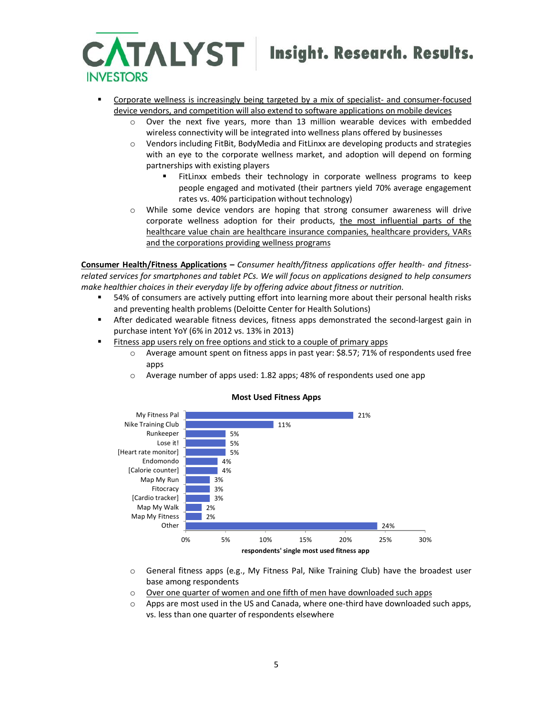

Insight. Research. Results.

- ß Corporate wellness is increasingly being targeted by a mix of specialist- and consumer-focused device vendors, and competition will also extend to software applications on mobile devices
	- o Over the next five years, more than 13 million wearable devices with embedded wireless connectivity will be integrated into wellness plans offered by businesses
	- o Vendors including FitBit, BodyMedia and FitLinxx are developing products and strategies with an eye to the corporate wellness market, and adoption will depend on forming partnerships with existing players
		- FitLinxx embeds their technology in corporate wellness programs to keep people engaged and motivated (their partners yield 70% average engagement rates vs. 40% participation without technology)
	- $\circ$  While some device vendors are hoping that strong consumer awareness will drive corporate wellness adoption for their products, the most influential parts of the healthcare value chain are healthcare insurance companies, healthcare providers, VARs and the corporations providing wellness programs

**Consumer Health/Fitness Applications –** *Consumer health/fitness applications offer health- and fitnessrelated services for smartphones and tablet PCs. We will focus on applications designed to help consumers make healthier choices in their everyday life by offering advice about fitness or nutrition.*

- ß 54% of consumers are actively putting effort into learning more about their personal health risks and preventing health problems (Deloitte Center for Health Solutions)
- **Ketama After dedicated wearable fitness devices, fitness apps demonstrated the second-largest gain in** purchase intent YoY (6% in 2012 vs. 13% in 2013)
- **Fitness app users rely on free options and stick to a couple of primary apps** 
	- $\circ$  Average amount spent on fitness apps in past year: \$8.57; 71% of respondents used free apps
	- o Average number of apps used: 1.82 apps; 48% of respondents used one app



### **Most Used Fitness Apps**

- o General fitness apps (e.g., My Fitness Pal, Nike Training Club) have the broadest user base among respondents
- o Over one quarter of women and one fifth of men have downloaded such apps
- $\circ$  Apps are most used in the US and Canada, where one-third have downloaded such apps, vs. less than one quarter of respondents elsewhere